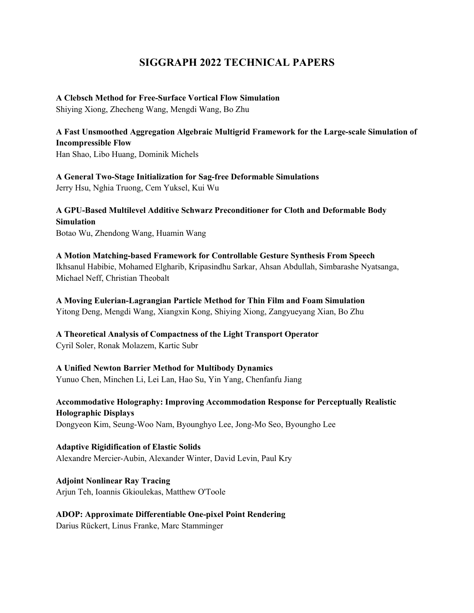# **SIGGRAPH 2022 TECHNICAL PAPERS**

#### **A Clebsch Method for Free-Surface Vortical Flow Simulation**

Shiying Xiong, Zhecheng Wang, Mengdi Wang, Bo Zhu

**A Fast Unsmoothed Aggregation Algebraic Multigrid Framework for the Large-scale Simulation of Incompressible Flow** 

Han Shao, Libo Huang, Dominik Michels

**A General Two-Stage Initialization for Sag-free Deformable Simulations**  Jerry Hsu, Nghia Truong, Cem Yuksel, Kui Wu

**A GPU-Based Multilevel Additive Schwarz Preconditioner for Cloth and Deformable Body Simulation**  Botao Wu, Zhendong Wang, Huamin Wang

**A Motion Matching-based Framework for Controllable Gesture Synthesis From Speech**  Ikhsanul Habibie, Mohamed Elgharib, Kripasindhu Sarkar, Ahsan Abdullah, Simbarashe Nyatsanga, Michael Neff, Christian Theobalt

**A Moving Eulerian-Lagrangian Particle Method for Thin Film and Foam Simulation**  Yitong Deng, Mengdi Wang, Xiangxin Kong, Shiying Xiong, Zangyueyang Xian, Bo Zhu

**A Theoretical Analysis of Compactness of the Light Transport Operator**  Cyril Soler, Ronak Molazem, Kartic Subr

**A Unified Newton Barrier Method for Multibody Dynamics**  Yunuo Chen, Minchen Li, Lei Lan, Hao Su, Yin Yang, Chenfanfu Jiang

**Accommodative Holography: Improving Accommodation Response for Perceptually Realistic Holographic Displays** 

Dongyeon Kim, Seung-Woo Nam, Byounghyo Lee, Jong-Mo Seo, Byoungho Lee

**Adaptive Rigidification of Elastic Solids**  Alexandre Mercier-Aubin, Alexander Winter, David Levin, Paul Kry

**Adjoint Nonlinear Ray Tracing**  Arjun Teh, Ioannis Gkioulekas, Matthew O'Toole

#### **ADOP: Approximate Differentiable One-pixel Point Rendering**

Darius Rückert, Linus Franke, Marc Stamminger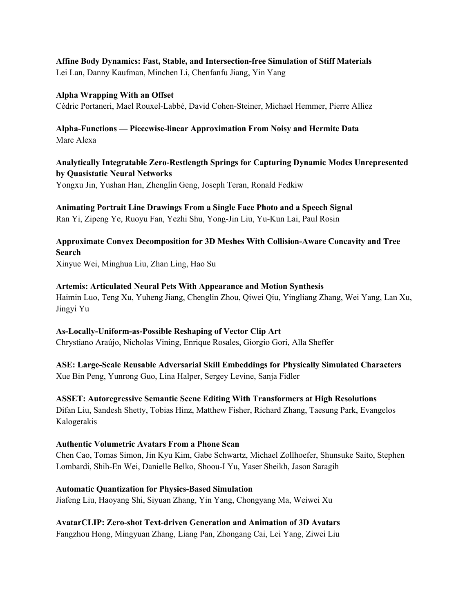## **Affine Body Dynamics: Fast, Stable, and Intersection-free Simulation of Stiff Materials**

Lei Lan, Danny Kaufman, Minchen Li, Chenfanfu Jiang, Yin Yang

#### **Alpha Wrapping With an Offset**

Cédric Portaneri, Mael Rouxel-Labbé, David Cohen-Steiner, Michael Hemmer, Pierre Alliez

## **Alpha-Functions — Piecewise-linear Approximation From Noisy and Hermite Data** Marc Alexa

# **Analytically Integratable Zero-Restlength Springs for Capturing Dynamic Modes Unrepresented by Quasistatic Neural Networks**

Yongxu Jin, Yushan Han, Zhenglin Geng, Joseph Teran, Ronald Fedkiw

# **Animating Portrait Line Drawings From a Single Face Photo and a Speech Signal**

Ran Yi, Zipeng Ye, Ruoyu Fan, Yezhi Shu, Yong-Jin Liu, Yu-Kun Lai, Paul Rosin

**Approximate Convex Decomposition for 3D Meshes With Collision-Aware Concavity and Tree Search**  Xinyue Wei, Minghua Liu, Zhan Ling, Hao Su

#### **Artemis: Articulated Neural Pets With Appearance and Motion Synthesis**

Haimin Luo, Teng Xu, Yuheng Jiang, Chenglin Zhou, Qiwei Qiu, Yingliang Zhang, Wei Yang, Lan Xu, Jingyi Yu

# **As-Locally-Uniform-as-Possible Reshaping of Vector Clip Art**

Chrystiano Araújo, Nicholas Vining, Enrique Rosales, Giorgio Gori, Alla Sheffer

# **ASE: Large-Scale Reusable Adversarial Skill Embeddings for Physically Simulated Characters**

Xue Bin Peng, Yunrong Guo, Lina Halper, Sergey Levine, Sanja Fidler

**ASSET: Autoregressive Semantic Scene Editing With Transformers at High Resolutions**  Difan Liu, Sandesh Shetty, Tobias Hinz, Matthew Fisher, Richard Zhang, Taesung Park, Evangelos Kalogerakis

#### **Authentic Volumetric Avatars From a Phone Scan**

Chen Cao, Tomas Simon, Jin Kyu Kim, Gabe Schwartz, Michael Zollhoefer, Shunsuke Saito, Stephen Lombardi, Shih-En Wei, Danielle Belko, Shoou-I Yu, Yaser Sheikh, Jason Saragih

#### **Automatic Quantization for Physics-Based Simulation**

Jiafeng Liu, Haoyang Shi, Siyuan Zhang, Yin Yang, Chongyang Ma, Weiwei Xu

# **AvatarCLIP: Zero-shot Text-driven Generation and Animation of 3D Avatars**

Fangzhou Hong, Mingyuan Zhang, Liang Pan, Zhongang Cai, Lei Yang, Ziwei Liu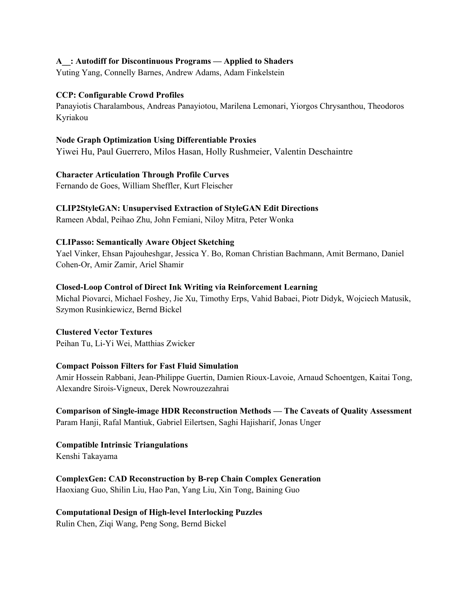#### **A\_\_: Autodiff for Discontinuous Programs — Applied to Shaders**

Yuting Yang, Connelly Barnes, Andrew Adams, Adam Finkelstein

#### **CCP: Configurable Crowd Profiles**

Panayiotis Charalambous, Andreas Panayiotou, Marilena Lemonari, Yiorgos Chrysanthou, Theodoros Kyriakou

#### **Node Graph Optimization Using Differentiable Proxies**

Yiwei Hu, Paul Guerrero, Milos Hasan, Holly Rushmeier, Valentin Deschaintre

#### **Character Articulation Through Profile Curves**

Fernando de Goes, William Sheffler, Kurt Fleischer

#### **CLIP2StyleGAN: Unsupervised Extraction of StyleGAN Edit Directions**

Rameen Abdal, Peihao Zhu, John Femiani, Niloy Mitra, Peter Wonka

#### **CLIPasso: Semantically Aware Object Sketching**

Yael Vinker, Ehsan Pajouheshgar, Jessica Y. Bo, Roman Christian Bachmann, Amit Bermano, Daniel Cohen-Or, Amir Zamir, Ariel Shamir

#### **Closed-Loop Control of Direct Ink Writing via Reinforcement Learning**

Michal Piovarci, Michael Foshey, Jie Xu, Timothy Erps, Vahid Babaei, Piotr Didyk, Wojciech Matusik, Szymon Rusinkiewicz, Bernd Bickel

#### **Clustered Vector Textures**

Peihan Tu, Li-Yi Wei, Matthias Zwicker

#### **Compact Poisson Filters for Fast Fluid Simulation**

Amir Hossein Rabbani, Jean-Philippe Guertin, Damien Rioux-Lavoie, Arnaud Schoentgen, Kaitai Tong, Alexandre Sirois-Vigneux, Derek Nowrouzezahrai

#### **Comparison of Single-image HDR Reconstruction Methods — The Caveats of Quality Assessment**  Param Hanji, Rafal Mantiuk, Gabriel Eilertsen, Saghi Hajisharif, Jonas Unger

**Compatible Intrinsic Triangulations**  Kenshi Takayama

**ComplexGen: CAD Reconstruction by B-rep Chain Complex Generation** 

Haoxiang Guo, Shilin Liu, Hao Pan, Yang Liu, Xin Tong, Baining Guo

#### **Computational Design of High-level Interlocking Puzzles**

Rulin Chen, Ziqi Wang, Peng Song, Bernd Bickel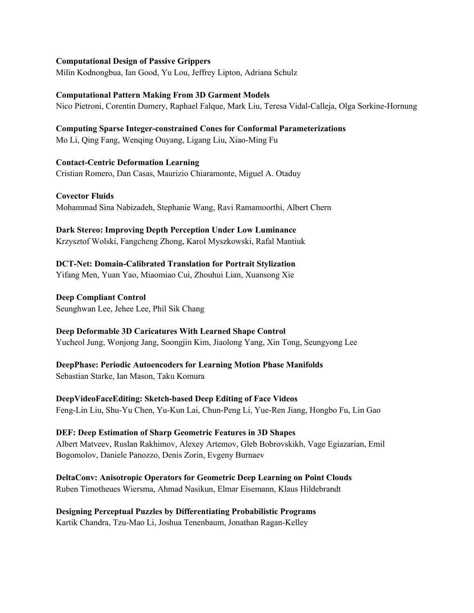#### **Computational Design of Passive Grippers**

Milin Kodnongbua, Ian Good, Yu Lou, Jeffrey Lipton, Adriana Schulz

### **Computational Pattern Making From 3D Garment Models**

Nico Pietroni, Corentin Dumery, Raphael Falque, Mark Liu, Teresa Vidal-Calleja, Olga Sorkine-Hornung

#### **Computing Sparse Integer-constrained Cones for Conformal Parameterizations**  Mo Li, Qing Fang, Wenqing Ouyang, Ligang Liu, Xiao-Ming Fu

**Contact-Centric Deformation Learning**  Cristian Romero, Dan Casas, Maurizio Chiaramonte, Miguel A. Otaduy

**Covector Fluids** 

Mohammad Sina Nabizadeh, Stephanie Wang, Ravi Ramamoorthi, Albert Chern

#### **Dark Stereo: Improving Depth Perception Under Low Luminance**

Krzysztof Wolski, Fangcheng Zhong, Karol Myszkowski, Rafal Mantiuk

# **DCT-Net: Domain-Calibrated Translation for Portrait Stylization**

Yifang Men, Yuan Yao, Miaomiao Cui, Zhouhui Lian, Xuansong Xie

#### **Deep Compliant Control**

Seunghwan Lee, Jehee Lee, Phil Sik Chang

#### **Deep Deformable 3D Caricatures With Learned Shape Control**

Yucheol Jung, Wonjong Jang, Soongjin Kim, Jiaolong Yang, Xin Tong, Seungyong Lee

#### **DeepPhase: Periodic Autoencoders for Learning Motion Phase Manifolds**  Sebastian Starke, Ian Mason, Taku Komura

**DeepVideoFaceEditing: Sketch-based Deep Editing of Face Videos**  Feng-Lin Liu, Shu-Yu Chen, Yu-Kun Lai, Chun-Peng Li, Yue-Ren Jiang, Hongbo Fu, Lin Gao

#### **DEF: Deep Estimation of Sharp Geometric Features in 3D Shapes**

Albert Matveev, Ruslan Rakhimov, Alexey Artemov, Gleb Bobrovskikh, Vage Egiazarian, Emil Bogomolov, Daniele Panozzo, Denis Zorin, Evgeny Burnaev

#### **DeltaConv: Anisotropic Operators for Geometric Deep Learning on Point Clouds**  Ruben Timotheues Wiersma, Ahmad Nasikun, Elmar Eisemann, Klaus Hildebrandt

# **Designing Perceptual Puzzles by Differentiating Probabilistic Programs**

Kartik Chandra, Tzu-Mao Li, Joshua Tenenbaum, Jonathan Ragan-Kelley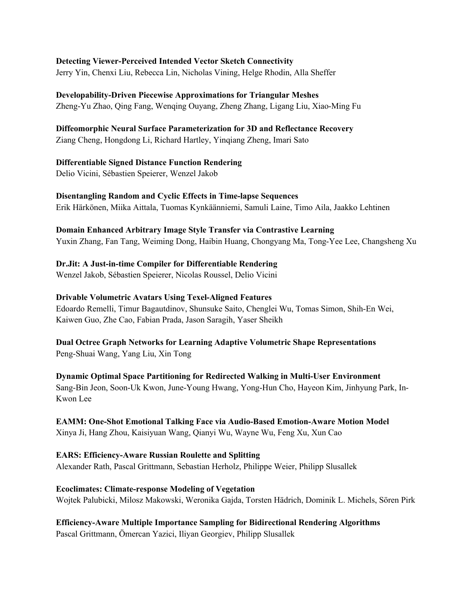#### **Detecting Viewer-Perceived Intended Vector Sketch Connectivity**

Jerry Yin, Chenxi Liu, Rebecca Lin, Nicholas Vining, Helge Rhodin, Alla Sheffer

**Developability-Driven Piecewise Approximations for Triangular Meshes**  Zheng-Yu Zhao, Qing Fang, Wenqing Ouyang, Zheng Zhang, Ligang Liu, Xiao-Ming Fu

# **Diffeomorphic Neural Surface Parameterization for 3D and Reflectance Recovery**

Ziang Cheng, Hongdong Li, Richard Hartley, Yinqiang Zheng, Imari Sato

## **Differentiable Signed Distance Function Rendering**

Delio Vicini, Sébastien Speierer, Wenzel Jakob

Kwon Lee

# **Disentangling Random and Cyclic Effects in Time-lapse Sequences**

Erik Härkönen, Miika Aittala, Tuomas Kynkäänniemi, Samuli Laine, Timo Aila, Jaakko Lehtinen

# **Domain Enhanced Arbitrary Image Style Transfer via Contrastive Learning**

Yuxin Zhang, Fan Tang, Weiming Dong, Haibin Huang, Chongyang Ma, Tong-Yee Lee, Changsheng Xu

# **Dr.Jit: A Just-in-time Compiler for Differentiable Rendering**

Wenzel Jakob, Sébastien Speierer, Nicolas Roussel, Delio Vicini

## **Drivable Volumetric Avatars Using Texel-Aligned Features**

Edoardo Remelli, Timur Bagautdinov, Shunsuke Saito, Chenglei Wu, Tomas Simon, Shih-En Wei, Kaiwen Guo, Zhe Cao, Fabian Prada, Jason Saragih, Yaser Sheikh

#### **Dual Octree Graph Networks for Learning Adaptive Volumetric Shape Representations**  Peng-Shuai Wang, Yang Liu, Xin Tong

**Dynamic Optimal Space Partitioning for Redirected Walking in Multi-User Environment**  Sang-Bin Jeon, Soon-Uk Kwon, June-Young Hwang, Yong-Hun Cho, Hayeon Kim, Jinhyung Park, In-

# **EAMM: One-Shot Emotional Talking Face via Audio-Based Emotion-Aware Motion Model**

Xinya Ji, Hang Zhou, Kaisiyuan Wang, Qianyi Wu, Wayne Wu, Feng Xu, Xun Cao

#### **EARS: Efficiency-Aware Russian Roulette and Splitting**  Alexander Rath, Pascal Grittmann, Sebastian Herholz, Philippe Weier, Philipp Slusallek

## **Ecoclimates: Climate-response Modeling of Vegetation**  Wojtek Palubicki, Milosz Makowski, Weronika Gajda, Torsten Hädrich, Dominik L. Michels, Sören Pirk

**Efficiency-Aware Multiple Importance Sampling for Bidirectional Rendering Algorithms**  Pascal Grittmann, Ömercan Yazici, Iliyan Georgiev, Philipp Slusallek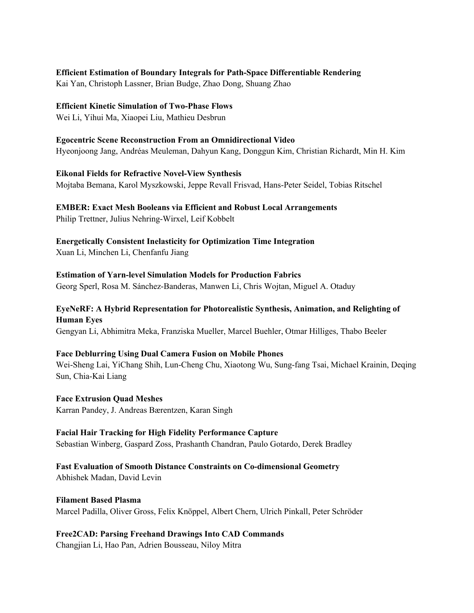#### **Efficient Estimation of Boundary Integrals for Path-Space Differentiable Rendering**

Kai Yan, Christoph Lassner, Brian Budge, Zhao Dong, Shuang Zhao

#### **Efficient Kinetic Simulation of Two-Phase Flows**

Wei Li, Yihui Ma, Xiaopei Liu, Mathieu Desbrun

## **Egocentric Scene Reconstruction From an Omnidirectional Video**

Hyeonjoong Jang, Andréas Meuleman, Dahyun Kang, Donggun Kim, Christian Richardt, Min H. Kim

#### **Eikonal Fields for Refractive Novel-View Synthesis**

Mojtaba Bemana, Karol Myszkowski, Jeppe Revall Frisvad, Hans-Peter Seidel, Tobias Ritschel

## **EMBER: Exact Mesh Booleans via Efficient and Robust Local Arrangements**

Philip Trettner, Julius Nehring-Wirxel, Leif Kobbelt

**Energetically Consistent Inelasticity for Optimization Time Integration**  Xuan Li, Minchen Li, Chenfanfu Jiang

**Estimation of Yarn-level Simulation Models for Production Fabrics** Georg Sperl, Rosa M. Sánchez-Banderas, Manwen Li, Chris Wojtan, Miguel A. Otaduy

# **EyeNeRF: A Hybrid Representation for Photorealistic Synthesis, Animation, and Relighting of Human Eyes**

Gengyan Li, Abhimitra Meka, Franziska Mueller, Marcel Buehler, Otmar Hilliges, Thabo Beeler

#### **Face Deblurring Using Dual Camera Fusion on Mobile Phones**

Wei-Sheng Lai, YiChang Shih, Lun-Cheng Chu, Xiaotong Wu, Sung-fang Tsai, Michael Krainin, Deqing Sun, Chia-Kai Liang

# **Face Extrusion Quad Meshes**

Karran Pandey, J. Andreas Bærentzen, Karan Singh

## **Facial Hair Tracking for High Fidelity Performance Capture** Sebastian Winberg, Gaspard Zoss, Prashanth Chandran, Paulo Gotardo, Derek Bradley

# **Fast Evaluation of Smooth Distance Constraints on Co-dimensional Geometry**

Abhishek Madan, David Levin

#### **Filament Based Plasma**  Marcel Padilla, Oliver Gross, Felix Knöppel, Albert Chern, Ulrich Pinkall, Peter Schröder

# **Free2CAD: Parsing Freehand Drawings Into CAD Commands**

Changjian Li, Hao Pan, Adrien Bousseau, Niloy Mitra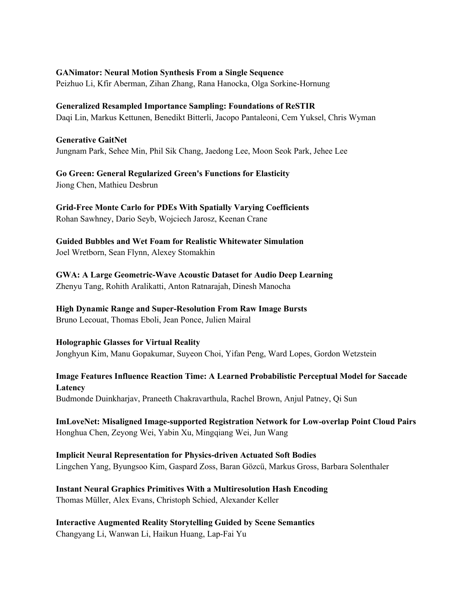#### **GANimator: Neural Motion Synthesis From a Single Sequence**

Peizhuo Li, Kfir Aberman, Zihan Zhang, Rana Hanocka, Olga Sorkine-Hornung

#### **Generalized Resampled Importance Sampling: Foundations of ReSTIR**

Daqi Lin, Markus Kettunen, Benedikt Bitterli, Jacopo Pantaleoni, Cem Yuksel, Chris Wyman

#### **Generative GaitNet**

Jungnam Park, Sehee Min, Phil Sik Chang, Jaedong Lee, Moon Seok Park, Jehee Lee

**Go Green: General Regularized Green's Functions for Elasticity**  Jiong Chen, Mathieu Desbrun

**Grid-Free Monte Carlo for PDEs With Spatially Varying Coefficients**  Rohan Sawhney, Dario Seyb, Wojciech Jarosz, Keenan Crane

**Guided Bubbles and Wet Foam for Realistic Whitewater Simulation** Joel Wretborn, Sean Flynn, Alexey Stomakhin

**GWA: A Large Geometric-Wave Acoustic Dataset for Audio Deep Learning** Zhenyu Tang, Rohith Aralikatti, Anton Ratnarajah, Dinesh Manocha

# **High Dynamic Range and Super-Resolution From Raw Image Bursts**

Bruno Lecouat, Thomas Eboli, Jean Ponce, Julien Mairal

#### **Holographic Glasses for Virtual Reality**  Jonghyun Kim, Manu Gopakumar, Suyeon Choi, Yifan Peng, Ward Lopes, Gordon Wetzstein

**Image Features Influence Reaction Time: A Learned Probabilistic Perceptual Model for Saccade Latency**  Budmonde Duinkharjav, Praneeth Chakravarthula, Rachel Brown, Anjul Patney, Qi Sun

**ImLoveNet: Misaligned Image-supported Registration Network for Low-overlap Point Cloud Pairs** Honghua Chen, Zeyong Wei, Yabin Xu, Mingqiang Wei, Jun Wang

**Implicit Neural Representation for Physics-driven Actuated Soft Bodies**  Lingchen Yang, Byungsoo Kim, Gaspard Zoss, Baran Gözcü, Markus Gross, Barbara Solenthaler

# **Instant Neural Graphics Primitives With a Multiresolution Hash Encoding**

Thomas Müller, Alex Evans, Christoph Schied, Alexander Keller

# **Interactive Augmented Reality Storytelling Guided by Scene Semantics**

Changyang Li, Wanwan Li, Haikun Huang, Lap-Fai Yu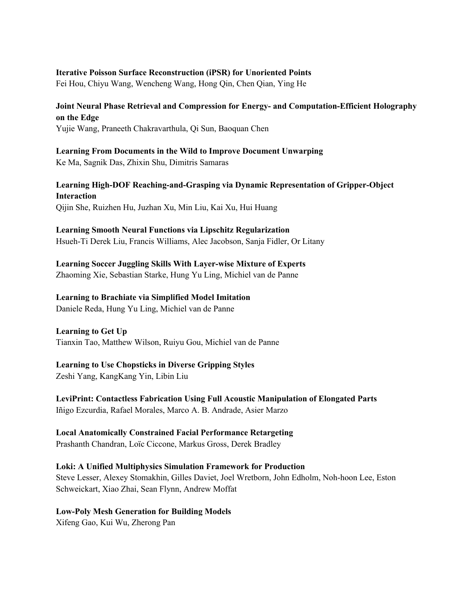#### **Iterative Poisson Surface Reconstruction (iPSR) for Unoriented Points**

Fei Hou, Chiyu Wang, Wencheng Wang, Hong Qin, Chen Qian, Ying He

## **Joint Neural Phase Retrieval and Compression for Energy- and Computation-Efficient Holography on the Edge**

Yujie Wang, Praneeth Chakravarthula, Qi Sun, Baoquan Chen

# **Learning From Documents in the Wild to Improve Document Unwarping**

Ke Ma, Sagnik Das, Zhixin Shu, Dimitris Samaras

# **Learning High-DOF Reaching-and-Grasping via Dynamic Representation of Gripper-Object Interaction**

Qijin She, Ruizhen Hu, Juzhan Xu, Min Liu, Kai Xu, Hui Huang

#### **Learning Smooth Neural Functions via Lipschitz Regularization**

Hsueh-Ti Derek Liu, Francis Williams, Alec Jacobson, Sanja Fidler, Or Litany

# **Learning Soccer Juggling Skills With Layer-wise Mixture of Experts**

Zhaoming Xie, Sebastian Starke, Hung Yu Ling, Michiel van de Panne

#### **Learning to Brachiate via Simplified Model Imitation**

Daniele Reda, Hung Yu Ling, Michiel van de Panne

#### **Learning to Get Up**

Tianxin Tao, Matthew Wilson, Ruiyu Gou, Michiel van de Panne

# **Learning to Use Chopsticks in Diverse Gripping Styles**

Zeshi Yang, KangKang Yin, Libin Liu

**LeviPrint: Contactless Fabrication Using Full Acoustic Manipulation of Elongated Parts**  Iñigo Ezcurdia, Rafael Morales, Marco A. B. Andrade, Asier Marzo

# **Local Anatomically Constrained Facial Performance Retargeting**

Prashanth Chandran, Loïc Ciccone, Markus Gross, Derek Bradley

#### **Loki: A Unified Multiphysics Simulation Framework for Production**

Steve Lesser, Alexey Stomakhin, Gilles Daviet, Joel Wretborn, John Edholm, Noh-hoon Lee, Eston Schweickart, Xiao Zhai, Sean Flynn, Andrew Moffat

#### **Low-Poly Mesh Generation for Building Models**

Xifeng Gao, Kui Wu, Zherong Pan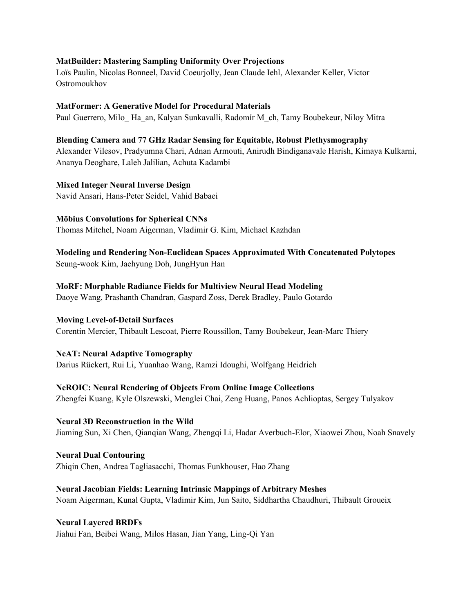#### **MatBuilder: Mastering Sampling Uniformity Over Projections**

Loïs Paulin, Nicolas Bonneel, David Coeurjolly, Jean Claude Iehl, Alexander Keller, Victor Ostromoukhov

#### **MatFormer: A Generative Model for Procedural Materials**

Paul Guerrero, Milo\_ Ha\_an, Kalyan Sunkavalli, Radomír M\_ch, Tamy Boubekeur, Niloy Mitra

#### **Blending Camera and 77 GHz Radar Sensing for Equitable, Robust Plethysmography**

Alexander Vilesov, Pradyumna Chari, Adnan Armouti, Anirudh Bindiganavale Harish, Kimaya Kulkarni, Ananya Deoghare, Laleh Jalilian, Achuta Kadambi

#### **Mixed Integer Neural Inverse Design**

Navid Ansari, Hans-Peter Seidel, Vahid Babaei

#### **Möbius Convolutions for Spherical CNNs**

Thomas Mitchel, Noam Aigerman, Vladimir G. Kim, Michael Kazhdan

# **Modeling and Rendering Non-Euclidean Spaces Approximated With Concatenated Polytopes**

Seung-wook Kim, Jaehyung Doh, JungHyun Han

#### **MoRF: Morphable Radiance Fields for Multiview Neural Head Modeling**

Daoye Wang, Prashanth Chandran, Gaspard Zoss, Derek Bradley, Paulo Gotardo

#### **Moving Level-of-Detail Surfaces**

Corentin Mercier, Thibault Lescoat, Pierre Roussillon, Tamy Boubekeur, Jean-Marc Thiery

#### **NeAT: Neural Adaptive Tomography**

Darius Rückert, Rui Li, Yuanhao Wang, Ramzi Idoughi, Wolfgang Heidrich

#### **NeROIC: Neural Rendering of Objects From Online Image Collections**

Zhengfei Kuang, Kyle Olszewski, Menglei Chai, Zeng Huang, Panos Achlioptas, Sergey Tulyakov

#### **Neural 3D Reconstruction in the Wild** Jiaming Sun, Xi Chen, Qianqian Wang, Zhengqi Li, Hadar Averbuch-Elor, Xiaowei Zhou, Noah Snavely

**Neural Dual Contouring**  Zhiqin Chen, Andrea Tagliasacchi, Thomas Funkhouser, Hao Zhang

#### **Neural Jacobian Fields: Learning Intrinsic Mappings of Arbitrary Meshes**

Noam Aigerman, Kunal Gupta, Vladimir Kim, Jun Saito, Siddhartha Chaudhuri, Thibault Groueix

#### **Neural Layered BRDFs**

Jiahui Fan, Beibei Wang, Milos Hasan, Jian Yang, Ling-Qi Yan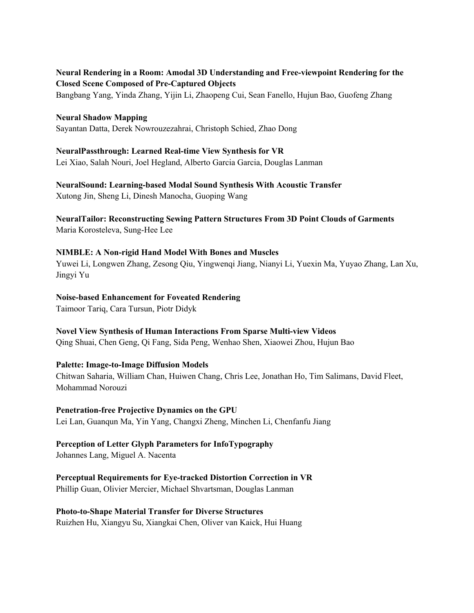### **Neural Rendering in a Room: Amodal 3D Understanding and Free-viewpoint Rendering for the Closed Scene Composed of Pre-Captured Objects**

Bangbang Yang, Yinda Zhang, Yijin Li, Zhaopeng Cui, Sean Fanello, Hujun Bao, Guofeng Zhang

#### **Neural Shadow Mapping**

Sayantan Datta, Derek Nowrouzezahrai, Christoph Schied, Zhao Dong

#### **NeuralPassthrough: Learned Real-time View Synthesis for VR**

Lei Xiao, Salah Nouri, Joel Hegland, Alberto Garcia Garcia, Douglas Lanman

# **NeuralSound: Learning-based Modal Sound Synthesis With Acoustic Transfer**

Xutong Jin, Sheng Li, Dinesh Manocha, Guoping Wang

#### **NeuralTailor: Reconstructing Sewing Pattern Structures From 3D Point Clouds of Garments** Maria Korosteleva, Sung-Hee Lee

# **NIMBLE: A Non-rigid Hand Model With Bones and Muscles**

Yuwei Li, Longwen Zhang, Zesong Qiu, Yingwenqi Jiang, Nianyi Li, Yuexin Ma, Yuyao Zhang, Lan Xu, Jingyi Yu

#### **Noise-based Enhancement for Foveated Rendering**

Taimoor Tariq, Cara Tursun, Piotr Didyk

#### **Novel View Synthesis of Human Interactions From Sparse Multi-view Videos**

Qing Shuai, Chen Geng, Qi Fang, Sida Peng, Wenhao Shen, Xiaowei Zhou, Hujun Bao

#### **Palette: Image-to-Image Diffusion Models**

Chitwan Saharia, William Chan, Huiwen Chang, Chris Lee, Jonathan Ho, Tim Salimans, David Fleet, Mohammad Norouzi

#### **Penetration-free Projective Dynamics on the GPU**

Lei Lan, Guanqun Ma, Yin Yang, Changxi Zheng, Minchen Li, Chenfanfu Jiang

# **Perception of Letter Glyph Parameters for InfoTypography**

Johannes Lang, Miguel A. Nacenta

# **Perceptual Requirements for Eye-tracked Distortion Correction in VR**

Phillip Guan, Olivier Mercier, Michael Shvartsman, Douglas Lanman

#### **Photo-to-Shape Material Transfer for Diverse Structures**

Ruizhen Hu, Xiangyu Su, Xiangkai Chen, Oliver van Kaick, Hui Huang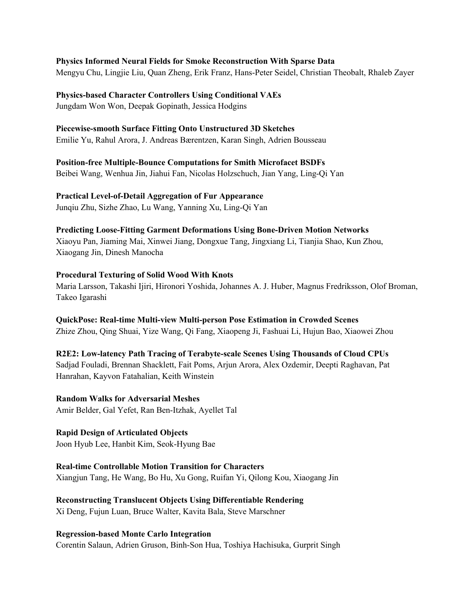#### **Physics Informed Neural Fields for Smoke Reconstruction With Sparse Data**

Mengyu Chu, Lingjie Liu, Quan Zheng, Erik Franz, Hans-Peter Seidel, Christian Theobalt, Rhaleb Zayer

**Physics-based Character Controllers Using Conditional VAEs** 

Jungdam Won Won, Deepak Gopinath, Jessica Hodgins

#### **Piecewise-smooth Surface Fitting Onto Unstructured 3D Sketches**

Emilie Yu, Rahul Arora, J. Andreas Bærentzen, Karan Singh, Adrien Bousseau

#### **Position-free Multiple-Bounce Computations for Smith Microfacet BSDFs**

Beibei Wang, Wenhua Jin, Jiahui Fan, Nicolas Holzschuch, Jian Yang, Ling-Qi Yan

#### **Practical Level-of-Detail Aggregation of Fur Appearance**

Junqiu Zhu, Sizhe Zhao, Lu Wang, Yanning Xu, Ling-Qi Yan

#### **Predicting Loose-Fitting Garment Deformations Using Bone-Driven Motion Networks**

Xiaoyu Pan, Jiaming Mai, Xinwei Jiang, Dongxue Tang, Jingxiang Li, Tianjia Shao, Kun Zhou, Xiaogang Jin, Dinesh Manocha

#### **Procedural Texturing of Solid Wood With Knots**

Maria Larsson, Takashi Ijiri, Hironori Yoshida, Johannes A. J. Huber, Magnus Fredriksson, Olof Broman, Takeo Igarashi

#### **QuickPose: Real-time Multi-view Multi-person Pose Estimation in Crowded Scenes**  Zhize Zhou, Qing Shuai, Yize Wang, Qi Fang, Xiaopeng Ji, Fashuai Li, Hujun Bao, Xiaowei Zhou

**R2E2: Low-latency Path Tracing of Terabyte-scale Scenes Using Thousands of Cloud CPUs** Sadjad Fouladi, Brennan Shacklett, Fait Poms, Arjun Arora, Alex Ozdemir, Deepti Raghavan, Pat Hanrahan, Kayvon Fatahalian, Keith Winstein

# **Random Walks for Adversarial Meshes**

Amir Belder, Gal Yefet, Ran Ben-Itzhak, Ayellet Tal

#### **Rapid Design of Articulated Objects**

Joon Hyub Lee, Hanbit Kim, Seok-Hyung Bae

#### **Real-time Controllable Motion Transition for Characters**

Xiangjun Tang, He Wang, Bo Hu, Xu Gong, Ruifan Yi, Qilong Kou, Xiaogang Jin

#### **Reconstructing Translucent Objects Using Differentiable Rendering**  Xi Deng, Fujun Luan, Bruce Walter, Kavita Bala, Steve Marschner

#### **Regression-based Monte Carlo Integration**

Corentin Salaun, Adrien Gruson, Binh-Son Hua, Toshiya Hachisuka, Gurprit Singh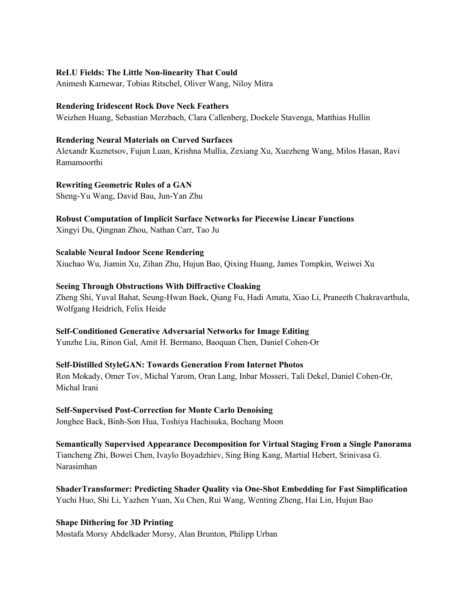#### **ReLU Fields: The Little Non-linearity That Could**

Animesh Karnewar, Tobias Ritschel, Oliver Wang, Niloy Mitra

#### **Rendering Iridescent Rock Dove Neck Feathers**

Weizhen Huang, Sebastian Merzbach, Clara Callenberg, Doekele Stavenga, Matthias Hullin

#### **Rendering Neural Materials on Curved Surfaces**

Alexandr Kuznetsov, Fujun Luan, Krishna Mullia, Zexiang Xu, Xuezheng Wang, Milos Hasan, Ravi Ramamoorthi

**Rewriting Geometric Rules of a GAN** Sheng-Yu Wang, David Bau, Jun-Yan Zhu

**Robust Computation of Implicit Surface Networks for Piecewise Linear Functions**  Xingyi Du, Qingnan Zhou, Nathan Carr, Tao Ju

**Scalable Neural Indoor Scene Rendering**  Xiuchao Wu, Jiamin Xu, Zihan Zhu, Hujun Bao, Qixing Huang, James Tompkin, Weiwei Xu

#### **Seeing Through Obstructions With Diffractive Cloaking**

Zheng Shi, Yuval Bahat, Seung-Hwan Baek, Qiang Fu, Hadi Amata, Xiao Li, Praneeth Chakravarthula, Wolfgang Heidrich, Felix Heide

#### **Self-Conditioned Generative Adversarial Networks for Image Editing**

Yunzhe Liu, Rinon Gal, Amit H. Bermano, Baoquan Chen, Daniel Cohen-Or

#### **Self-Distilled StyleGAN: Towards Generation From Internet Photos**

Ron Mokady, Omer Tov, Michal Yarom, Oran Lang, Inbar Mosseri, Tali Dekel, Daniel Cohen-Or, Michal Irani

#### **Self-Supervised Post-Correction for Monte Carlo Denoising**

Jonghee Back, Binh-Son Hua, Toshiya Hachisuka, Bochang Moon

**Semantically Supervised Appearance Decomposition for Virtual Staging From a Single Panorama**  Tiancheng Zhi, Bowei Chen, Ivaylo Boyadzhiev, Sing Bing Kang, Martial Hebert, Srinivasa G. Narasimhan

#### **ShaderTransformer: Predicting Shader Quality via One-Shot Embedding for Fast Simplification**

Yuchi Huo, Shi Li, Yazhen Yuan, Xu Chen, Rui Wang, Wenting Zheng, Hai Lin, Hujun Bao

#### **Shape Dithering for 3D Printing**

Mostafa Morsy Abdelkader Morsy, Alan Brunton, Philipp Urban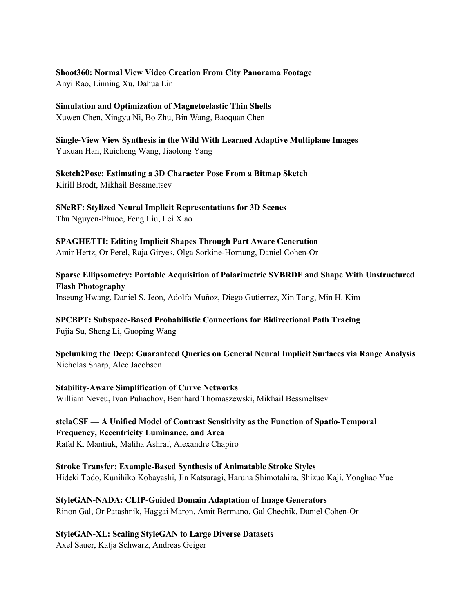#### **Shoot360: Normal View Video Creation From City Panorama Footage**

Anyi Rao, Linning Xu, Dahua Lin

## **Simulation and Optimization of Magnetoelastic Thin Shells**

Xuwen Chen, Xingyu Ni, Bo Zhu, Bin Wang, Baoquan Chen

**Single-View View Synthesis in the Wild With Learned Adaptive Multiplane Images**  Yuxuan Han, Ruicheng Wang, Jiaolong Yang

**Sketch2Pose: Estimating a 3D Character Pose From a Bitmap Sketch**  Kirill Brodt, Mikhail Bessmeltsev

**SNeRF: Stylized Neural Implicit Representations for 3D Scenes**  Thu Nguyen-Phuoc, Feng Liu, Lei Xiao

**SPAGHETTI: Editing Implicit Shapes Through Part Aware Generation**  Amir Hertz, Or Perel, Raja Giryes, Olga Sorkine-Hornung, Daniel Cohen-Or

**Sparse Ellipsometry: Portable Acquisition of Polarimetric SVBRDF and Shape With Unstructured Flash Photography**  Inseung Hwang, Daniel S. Jeon, Adolfo Muñoz, Diego Gutierrez, Xin Tong, Min H. Kim

**SPCBPT: Subspace-Based Probabilistic Connections for Bidirectional Path Tracing** Fujia Su, Sheng Li, Guoping Wang

**Spelunking the Deep: Guaranteed Queries on General Neural Implicit Surfaces via Range Analysis** Nicholas Sharp, Alec Jacobson

**Stability-Aware Simplification of Curve Networks**  William Neveu, Ivan Puhachov, Bernhard Thomaszewski, Mikhail Bessmeltsev

**stelaCSF — A Unified Model of Contrast Sensitivity as the Function of Spatio-Temporal Frequency, Eccentricity Luminance, and Area** Rafal K. Mantiuk, Maliha Ashraf, Alexandre Chapiro

**Stroke Transfer: Example-Based Synthesis of Animatable Stroke Styles**  Hideki Todo, Kunihiko Kobayashi, Jin Katsuragi, Haruna Shimotahira, Shizuo Kaji, Yonghao Yue

**StyleGAN-NADA: CLIP-Guided Domain Adaptation of Image Generators**  Rinon Gal, Or Patashnik, Haggai Maron, Amit Bermano, Gal Chechik, Daniel Cohen-Or

**StyleGAN-XL: Scaling StyleGAN to Large Diverse Datasets**  Axel Sauer, Katja Schwarz, Andreas Geiger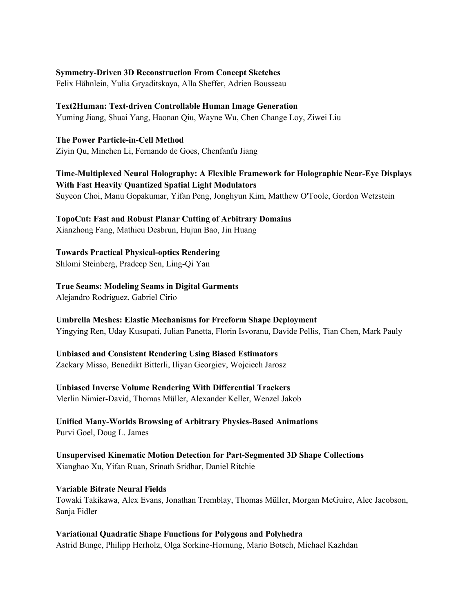#### **Symmetry-Driven 3D Reconstruction From Concept Sketches**

Felix Hähnlein, Yulia Gryaditskaya, Alla Sheffer, Adrien Bousseau

## **Text2Human: Text-driven Controllable Human Image Generation**

Yuming Jiang, Shuai Yang, Haonan Qiu, Wayne Wu, Chen Change Loy, Ziwei Liu

**The Power Particle-in-Cell Method**  Ziyin Qu, Minchen Li, Fernando de Goes, Chenfanfu Jiang

## **Time-Multiplexed Neural Holography: A Flexible Framework for Holographic Near-Eye Displays With Fast Heavily Quantized Spatial Light Modulators**  Suyeon Choi, Manu Gopakumar, Yifan Peng, Jonghyun Kim, Matthew O'Toole, Gordon Wetzstein

#### **TopoCut: Fast and Robust Planar Cutting of Arbitrary Domains**  Xianzhong Fang, Mathieu Desbrun, Hujun Bao, Jin Huang

# **Towards Practical Physical-optics Rendering**

Shlomi Steinberg, Pradeep Sen, Ling-Qi Yan

# **True Seams: Modeling Seams in Digital Garments**

Alejandro Rodríguez, Gabriel Cirio

#### **Umbrella Meshes: Elastic Mechanisms for Freeform Shape Deployment**

Yingying Ren, Uday Kusupati, Julian Panetta, Florin Isvoranu, Davide Pellis, Tian Chen, Mark Pauly

# **Unbiased and Consistent Rendering Using Biased Estimators**

Zackary Misso, Benedikt Bitterli, Iliyan Georgiev, Wojciech Jarosz

#### **Unbiased Inverse Volume Rendering With Differential Trackers**

Merlin Nimier-David, Thomas Müller, Alexander Keller, Wenzel Jakob

## **Unified Many-Worlds Browsing of Arbitrary Physics-Based Animations**  Purvi Goel, Doug L. James

**Unsupervised Kinematic Motion Detection for Part-Segmented 3D Shape Collections** Xianghao Xu, Yifan Ruan, Srinath Sridhar, Daniel Ritchie

#### **Variable Bitrate Neural Fields**

Towaki Takikawa, Alex Evans, Jonathan Tremblay, Thomas Müller, Morgan McGuire, Alec Jacobson, Sanja Fidler

#### **Variational Quadratic Shape Functions for Polygons and Polyhedra**  Astrid Bunge, Philipp Herholz, Olga Sorkine-Hornung, Mario Botsch, Michael Kazhdan